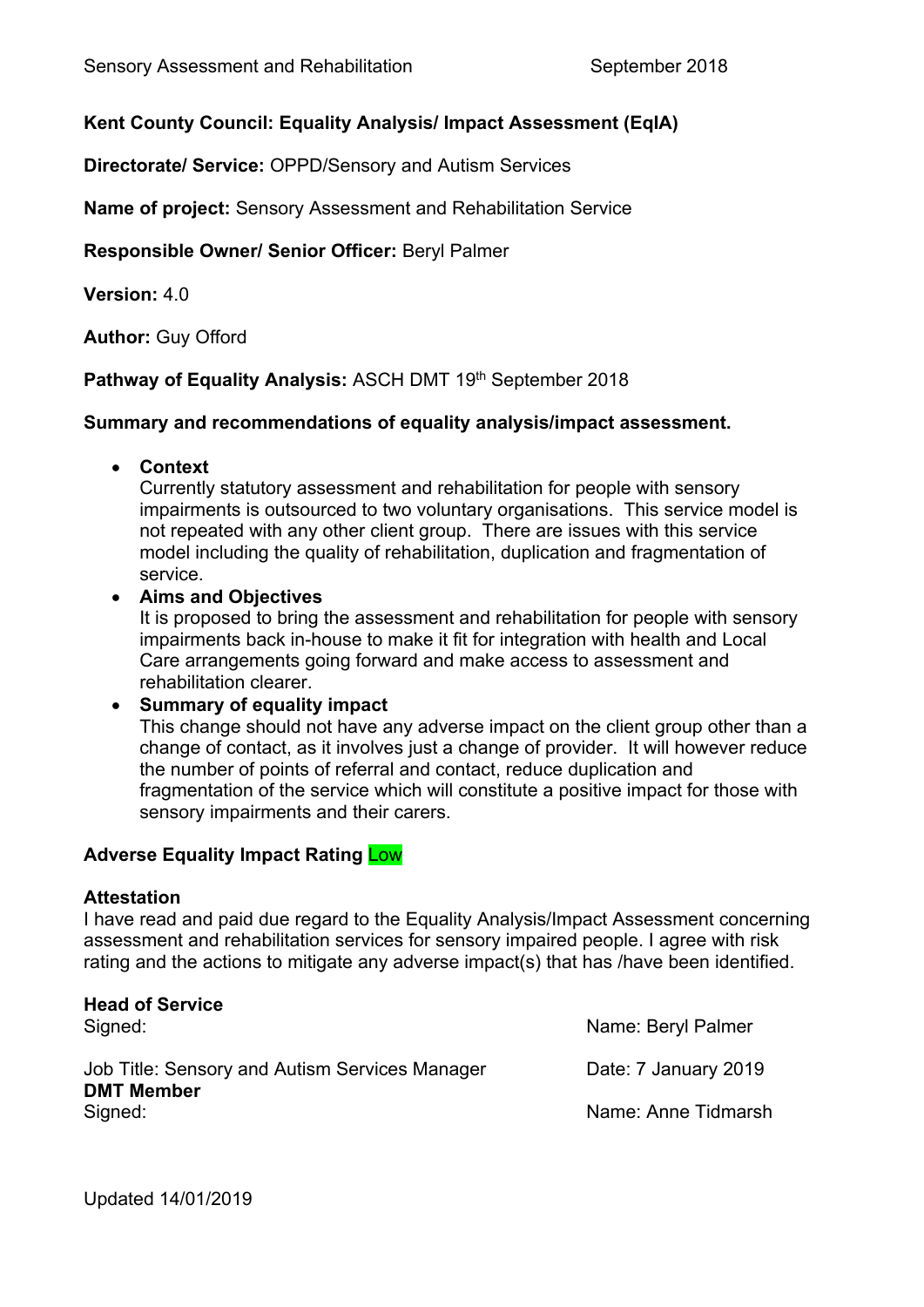# **Kent County Council: Equality Analysis/ Impact Assessment (EqIA)**

**Directorate/ Service:** OPPD/Sensory and Autism Services

**Name of project:** Sensory Assessment and Rehabilitation Service

**Responsible Owner/ Senior Officer:** Beryl Palmer

**Version:** 4.0

**Author:** Guy Offord

**Pathway of Equality Analysis: ASCH DMT 19th September 2018** 

# **Summary and recommendations of equality analysis/impact assessment.**

**Context**

Currently statutory assessment and rehabilitation for people with sensory impairments is outsourced to two voluntary organisations. This service model is not repeated with any other client group. There are issues with this service model including the quality of rehabilitation, duplication and fragmentation of service.

**Aims and Objectives**

It is proposed to bring the assessment and rehabilitation for people with sensory impairments back in-house to make it fit for integration with health and Local Care arrangements going forward and make access to assessment and rehabilitation clearer.

# **Summary of equality impact**

This change should not have any adverse impact on the client group other than a change of contact, as it involves just a change of provider. It will however reduce the number of points of referral and contact, reduce duplication and fragmentation of the service which will constitute a positive impact for those with sensory impairments and their carers.

# **Adverse Equality Impact Rating** Low

# **Attestation**

I have read and paid due regard to the Equality Analysis/Impact Assessment concerning assessment and rehabilitation services for sensory impaired people. I agree with risk rating and the actions to mitigate any adverse impact(s) that has /have been identified.

| <b>Head of Service</b><br>Signed:                                   | Name: Beryl Palmer   |
|---------------------------------------------------------------------|----------------------|
| Job Title: Sensory and Autism Services Manager<br><b>DMT Member</b> | Date: 7 January 2019 |
| Signed:                                                             | Name: Anne Tidmarsh  |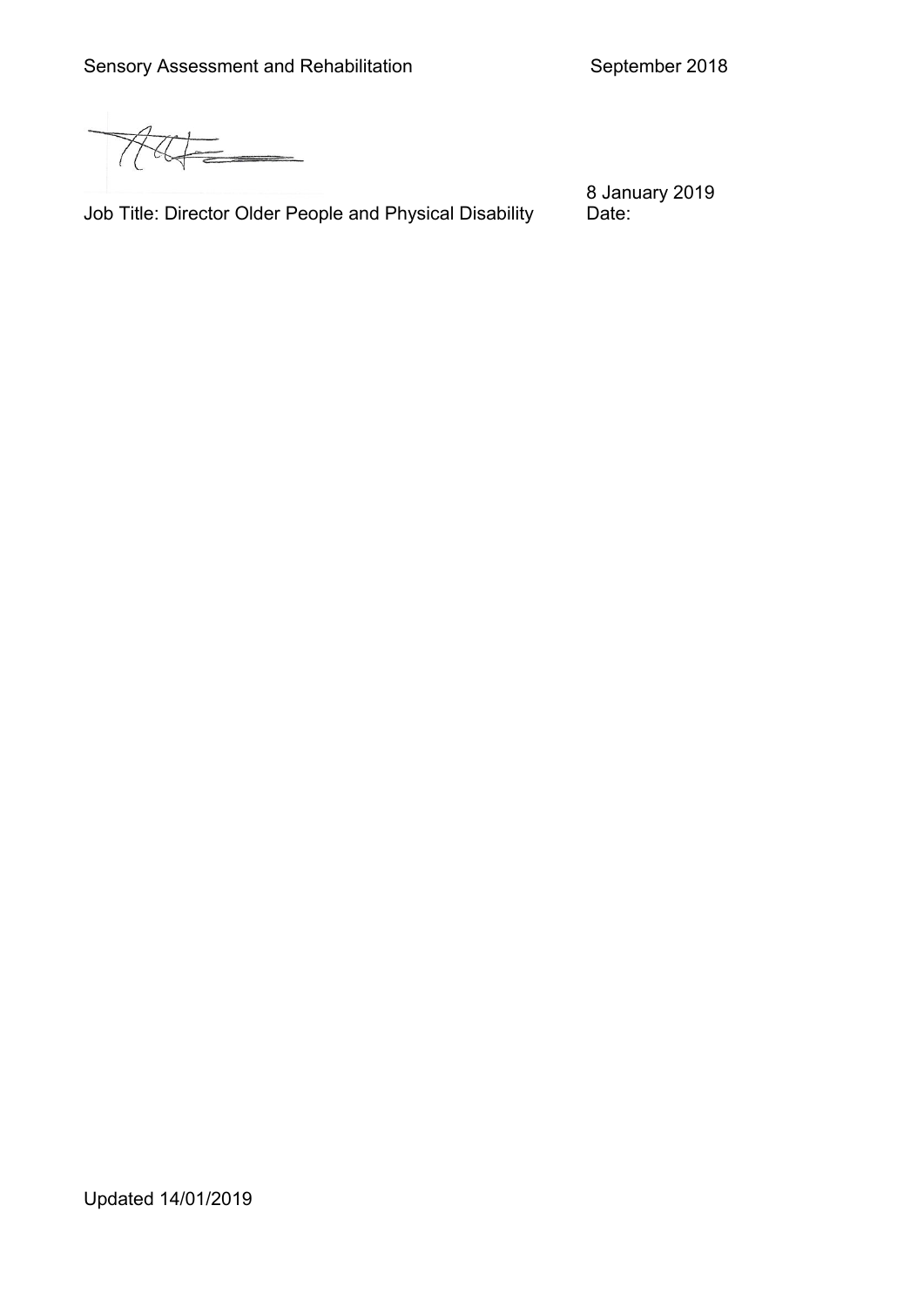Allt

Job Title: Director Older People and Physical Disability

8 January 2019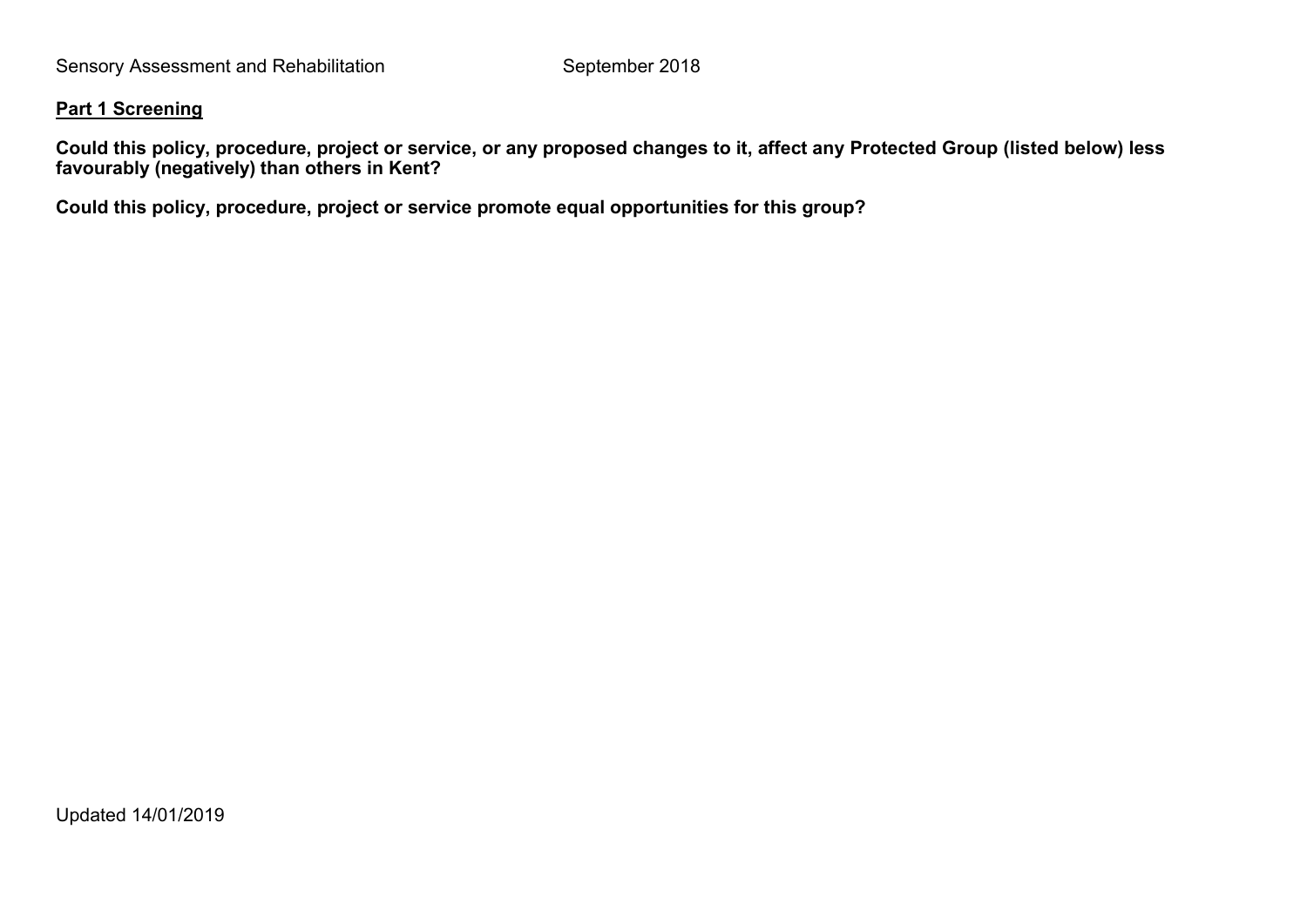#### **Part 1 Screening**

Could this policy, procedure, project or service, or any proposed changes to it, affect any Protected Group (listed below) less **favourably (negatively) than others in Kent?**

**Could this policy, procedure, project or service promote equal opportunities for this group?**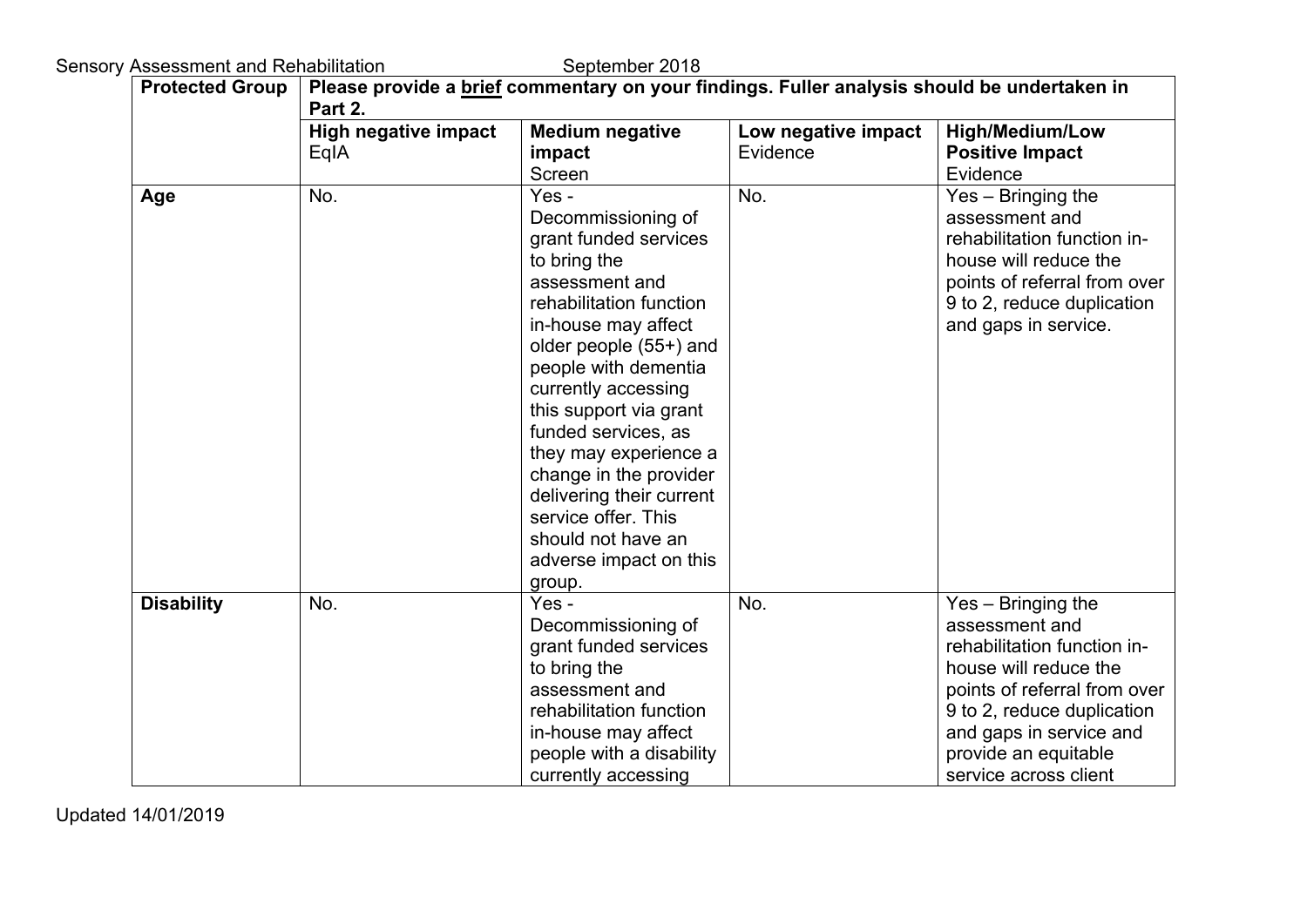Sensory Assessment and Rehabilitation September 2018

| <b>Protected Group</b> | Please provide a brief commentary on your findings. Fuller analysis should be undertaken in<br>Part 2. |                                                                                                                                                                                                                                                                                                                                                                                                                                    |                                 |                                                                                                                                                                                                                                        |  |  |  |
|------------------------|--------------------------------------------------------------------------------------------------------|------------------------------------------------------------------------------------------------------------------------------------------------------------------------------------------------------------------------------------------------------------------------------------------------------------------------------------------------------------------------------------------------------------------------------------|---------------------------------|----------------------------------------------------------------------------------------------------------------------------------------------------------------------------------------------------------------------------------------|--|--|--|
|                        | <b>High negative impact</b><br>EqIA                                                                    | <b>Medium negative</b><br>impact<br>Screen                                                                                                                                                                                                                                                                                                                                                                                         | Low negative impact<br>Evidence | <b>High/Medium/Low</b><br><b>Positive Impact</b><br>Evidence                                                                                                                                                                           |  |  |  |
| Age                    | No.                                                                                                    | Yes -<br>Decommissioning of<br>grant funded services<br>to bring the<br>assessment and<br>rehabilitation function<br>in-house may affect<br>older people (55+) and<br>people with dementia<br>currently accessing<br>this support via grant<br>funded services, as<br>they may experience a<br>change in the provider<br>delivering their current<br>service offer. This<br>should not have an<br>adverse impact on this<br>group. | No.                             | Yes - Bringing the<br>assessment and<br>rehabilitation function in-<br>house will reduce the<br>points of referral from over<br>9 to 2, reduce duplication<br>and gaps in service.                                                     |  |  |  |
| <b>Disability</b>      | No.                                                                                                    | Yes -<br>Decommissioning of<br>grant funded services<br>to bring the<br>assessment and<br>rehabilitation function<br>in-house may affect<br>people with a disability<br>currently accessing                                                                                                                                                                                                                                        | No.                             | Yes - Bringing the<br>assessment and<br>rehabilitation function in-<br>house will reduce the<br>points of referral from over<br>9 to 2, reduce duplication<br>and gaps in service and<br>provide an equitable<br>service across client |  |  |  |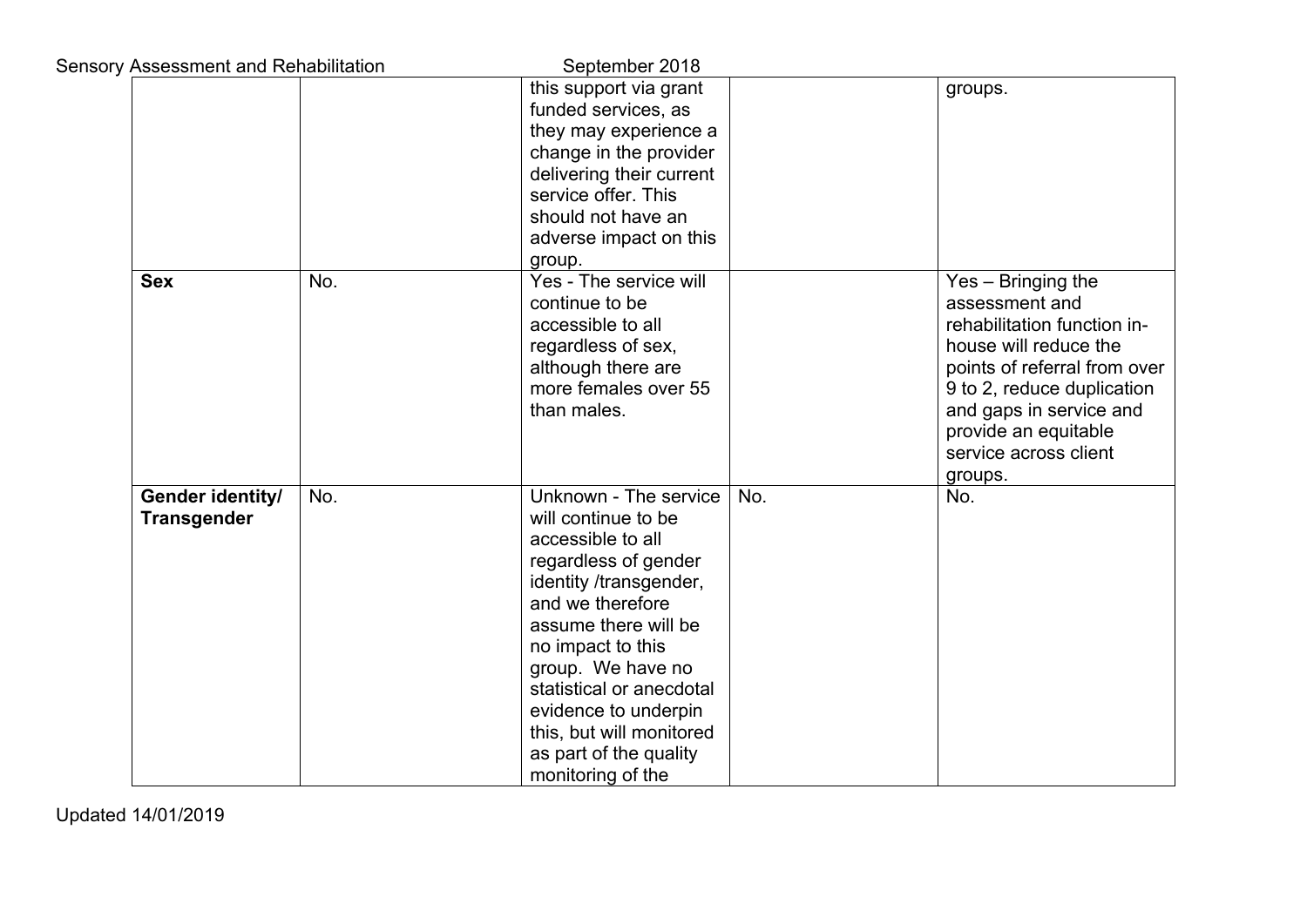| <b>Sensory Assessment and Rehabilitation</b> |     | September 2018                                                                                                                                                                                                                                                                                                                           |     |                                                                                                                                                                                                                                                   |
|----------------------------------------------|-----|------------------------------------------------------------------------------------------------------------------------------------------------------------------------------------------------------------------------------------------------------------------------------------------------------------------------------------------|-----|---------------------------------------------------------------------------------------------------------------------------------------------------------------------------------------------------------------------------------------------------|
|                                              |     | this support via grant<br>funded services, as<br>they may experience a<br>change in the provider<br>delivering their current<br>service offer. This<br>should not have an<br>adverse impact on this<br>group.                                                                                                                            |     | groups.                                                                                                                                                                                                                                           |
| <b>Sex</b>                                   | No. | Yes - The service will<br>continue to be<br>accessible to all<br>regardless of sex,<br>although there are<br>more females over 55<br>than males.                                                                                                                                                                                         |     | Yes - Bringing the<br>assessment and<br>rehabilitation function in-<br>house will reduce the<br>points of referral from over<br>9 to 2, reduce duplication<br>and gaps in service and<br>provide an equitable<br>service across client<br>groups. |
| Gender identity/<br><b>Transgender</b>       | No. | Unknown - The service<br>will continue to be<br>accessible to all<br>regardless of gender<br>identity /transgender,<br>and we therefore<br>assume there will be<br>no impact to this<br>group. We have no<br>statistical or anecdotal<br>evidence to underpin<br>this, but will monitored<br>as part of the quality<br>monitoring of the | No. | No.                                                                                                                                                                                                                                               |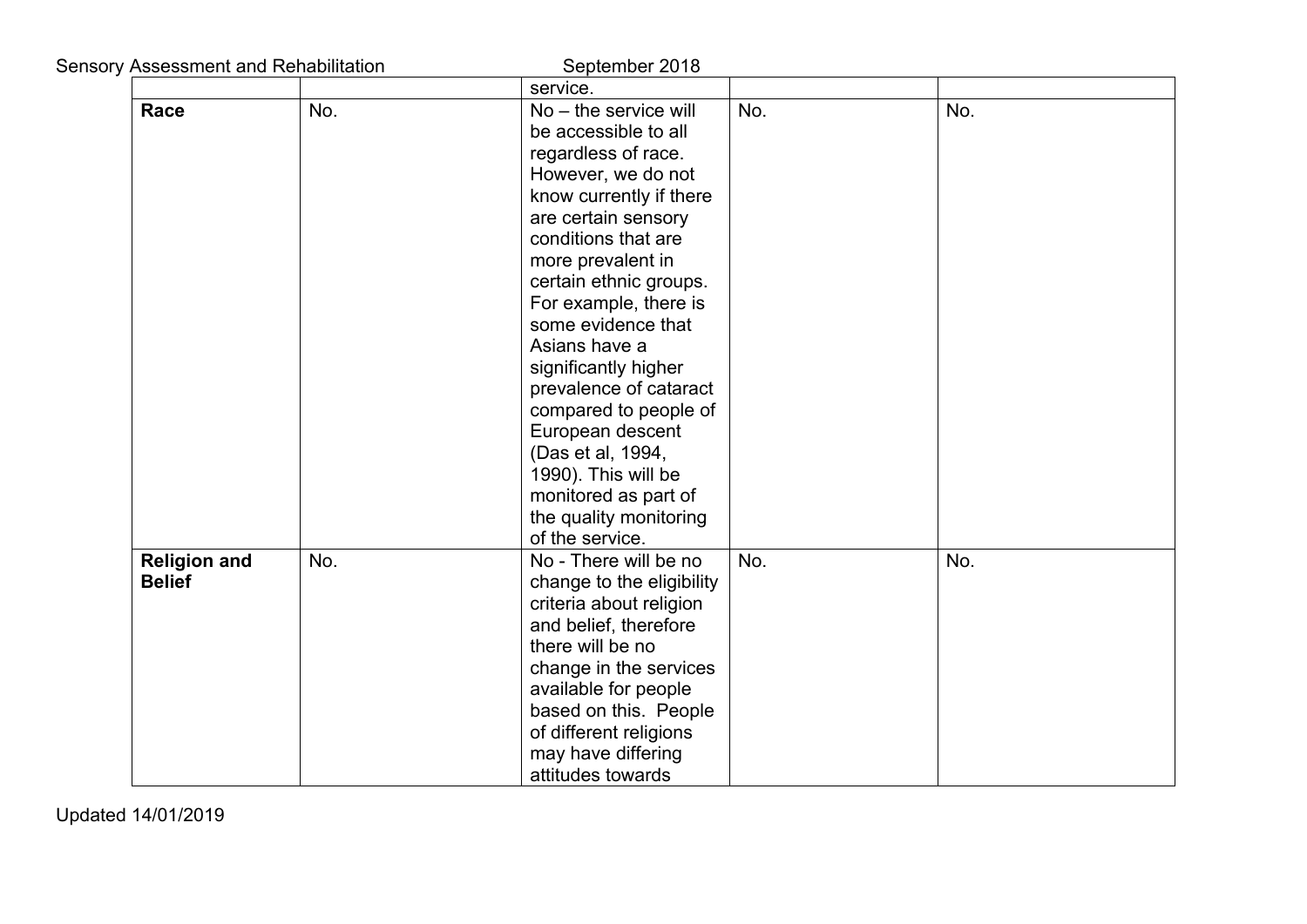|  | <b>Sensory Assessment and Rehabilitation</b><br>September 2018 |     |                                                                                                                                                                                                                                                                                                                                                                                                                                                                                                             |     |     |  |  |
|--|----------------------------------------------------------------|-----|-------------------------------------------------------------------------------------------------------------------------------------------------------------------------------------------------------------------------------------------------------------------------------------------------------------------------------------------------------------------------------------------------------------------------------------------------------------------------------------------------------------|-----|-----|--|--|
|  |                                                                |     | service.                                                                                                                                                                                                                                                                                                                                                                                                                                                                                                    |     |     |  |  |
|  | Race                                                           | No. | No - the service will                                                                                                                                                                                                                                                                                                                                                                                                                                                                                       | No. | No. |  |  |
|  |                                                                |     | be accessible to all                                                                                                                                                                                                                                                                                                                                                                                                                                                                                        |     |     |  |  |
|  |                                                                |     | regardless of race.                                                                                                                                                                                                                                                                                                                                                                                                                                                                                         |     |     |  |  |
|  |                                                                |     | However, we do not                                                                                                                                                                                                                                                                                                                                                                                                                                                                                          |     |     |  |  |
|  |                                                                |     | know currently if there                                                                                                                                                                                                                                                                                                                                                                                                                                                                                     |     |     |  |  |
|  |                                                                |     | are certain sensory                                                                                                                                                                                                                                                                                                                                                                                                                                                                                         |     |     |  |  |
|  |                                                                |     | conditions that are                                                                                                                                                                                                                                                                                                                                                                                                                                                                                         |     |     |  |  |
|  |                                                                |     | more prevalent in                                                                                                                                                                                                                                                                                                                                                                                                                                                                                           |     |     |  |  |
|  |                                                                |     | certain ethnic groups.                                                                                                                                                                                                                                                                                                                                                                                                                                                                                      |     |     |  |  |
|  |                                                                |     | For example, there is                                                                                                                                                                                                                                                                                                                                                                                                                                                                                       |     |     |  |  |
|  |                                                                |     | some evidence that                                                                                                                                                                                                                                                                                                                                                                                                                                                                                          |     |     |  |  |
|  |                                                                |     |                                                                                                                                                                                                                                                                                                                                                                                                                                                                                                             |     |     |  |  |
|  |                                                                |     |                                                                                                                                                                                                                                                                                                                                                                                                                                                                                                             |     |     |  |  |
|  |                                                                |     |                                                                                                                                                                                                                                                                                                                                                                                                                                                                                                             |     |     |  |  |
|  |                                                                |     |                                                                                                                                                                                                                                                                                                                                                                                                                                                                                                             |     |     |  |  |
|  |                                                                |     |                                                                                                                                                                                                                                                                                                                                                                                                                                                                                                             |     |     |  |  |
|  |                                                                |     |                                                                                                                                                                                                                                                                                                                                                                                                                                                                                                             |     |     |  |  |
|  |                                                                |     |                                                                                                                                                                                                                                                                                                                                                                                                                                                                                                             |     |     |  |  |
|  |                                                                |     |                                                                                                                                                                                                                                                                                                                                                                                                                                                                                                             |     |     |  |  |
|  |                                                                |     |                                                                                                                                                                                                                                                                                                                                                                                                                                                                                                             |     |     |  |  |
|  |                                                                |     |                                                                                                                                                                                                                                                                                                                                                                                                                                                                                                             |     |     |  |  |
|  |                                                                |     |                                                                                                                                                                                                                                                                                                                                                                                                                                                                                                             |     |     |  |  |
|  |                                                                |     |                                                                                                                                                                                                                                                                                                                                                                                                                                                                                                             |     |     |  |  |
|  |                                                                |     |                                                                                                                                                                                                                                                                                                                                                                                                                                                                                                             |     |     |  |  |
|  |                                                                |     |                                                                                                                                                                                                                                                                                                                                                                                                                                                                                                             |     |     |  |  |
|  |                                                                |     |                                                                                                                                                                                                                                                                                                                                                                                                                                                                                                             |     |     |  |  |
|  |                                                                |     |                                                                                                                                                                                                                                                                                                                                                                                                                                                                                                             |     |     |  |  |
|  |                                                                |     |                                                                                                                                                                                                                                                                                                                                                                                                                                                                                                             |     |     |  |  |
|  |                                                                |     |                                                                                                                                                                                                                                                                                                                                                                                                                                                                                                             |     |     |  |  |
|  |                                                                |     |                                                                                                                                                                                                                                                                                                                                                                                                                                                                                                             |     |     |  |  |
|  |                                                                |     |                                                                                                                                                                                                                                                                                                                                                                                                                                                                                                             |     |     |  |  |
|  | <b>Religion and</b><br><b>Belief</b>                           | No. | Asians have a<br>significantly higher<br>prevalence of cataract<br>compared to people of<br>European descent<br>(Das et al, 1994,<br>1990). This will be<br>monitored as part of<br>the quality monitoring<br>of the service.<br>No - There will be no<br>change to the eligibility<br>criteria about religion<br>and belief, therefore<br>there will be no<br>change in the services<br>available for people<br>based on this. People<br>of different religions<br>may have differing<br>attitudes towards | No. | No. |  |  |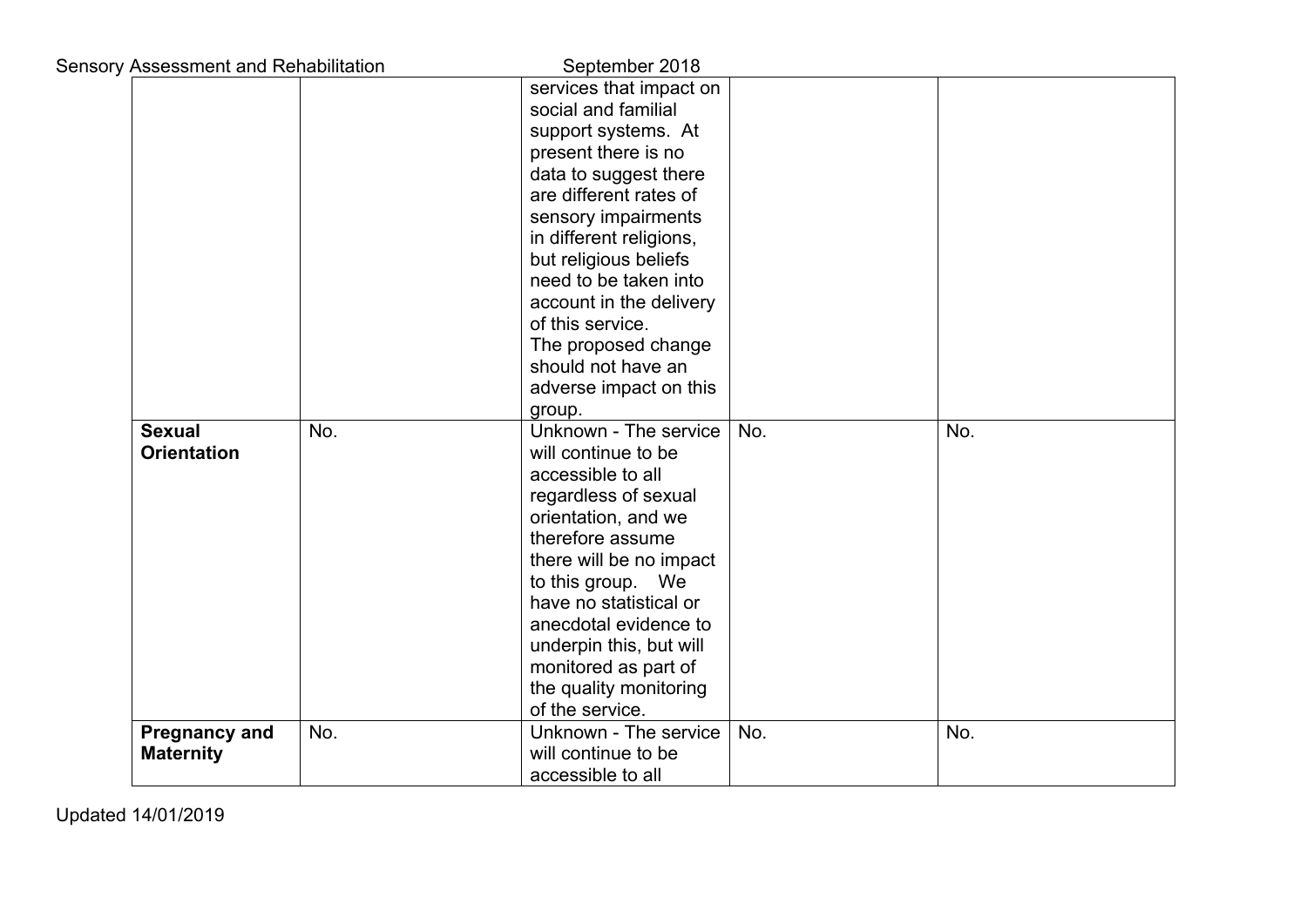| <b>Sensory Assessment and Rehabilitation</b> |     | September 2018                           |     |     |
|----------------------------------------------|-----|------------------------------------------|-----|-----|
|                                              |     | services that impact on                  |     |     |
|                                              |     | social and familial                      |     |     |
|                                              |     | support systems. At                      |     |     |
|                                              |     | present there is no                      |     |     |
|                                              |     | data to suggest there                    |     |     |
|                                              |     | are different rates of                   |     |     |
|                                              |     | sensory impairments                      |     |     |
|                                              |     | in different religions,                  |     |     |
|                                              |     | but religious beliefs                    |     |     |
|                                              |     | need to be taken into                    |     |     |
|                                              |     | account in the delivery                  |     |     |
|                                              |     | of this service.                         |     |     |
|                                              |     | The proposed change                      |     |     |
|                                              |     | should not have an                       |     |     |
|                                              |     | adverse impact on this                   |     |     |
|                                              |     | group.                                   |     |     |
| <b>Sexual</b>                                | No. | Unknown - The service                    | No. | No. |
| <b>Orientation</b>                           |     | will continue to be                      |     |     |
|                                              |     | accessible to all                        |     |     |
|                                              |     | regardless of sexual                     |     |     |
|                                              |     | orientation, and we                      |     |     |
|                                              |     | therefore assume                         |     |     |
|                                              |     | there will be no impact                  |     |     |
|                                              |     | to this group. We                        |     |     |
|                                              |     | have no statistical or                   |     |     |
|                                              |     | anecdotal evidence to                    |     |     |
|                                              |     | underpin this, but will                  |     |     |
|                                              |     | monitored as part of                     |     |     |
|                                              |     | the quality monitoring                   |     |     |
|                                              |     | of the service.                          |     |     |
| <b>Pregnancy and</b>                         | No. | Unknown - The service                    | No. | No. |
| <b>Maternity</b>                             |     | will continue to be<br>accessible to all |     |     |
|                                              |     |                                          |     |     |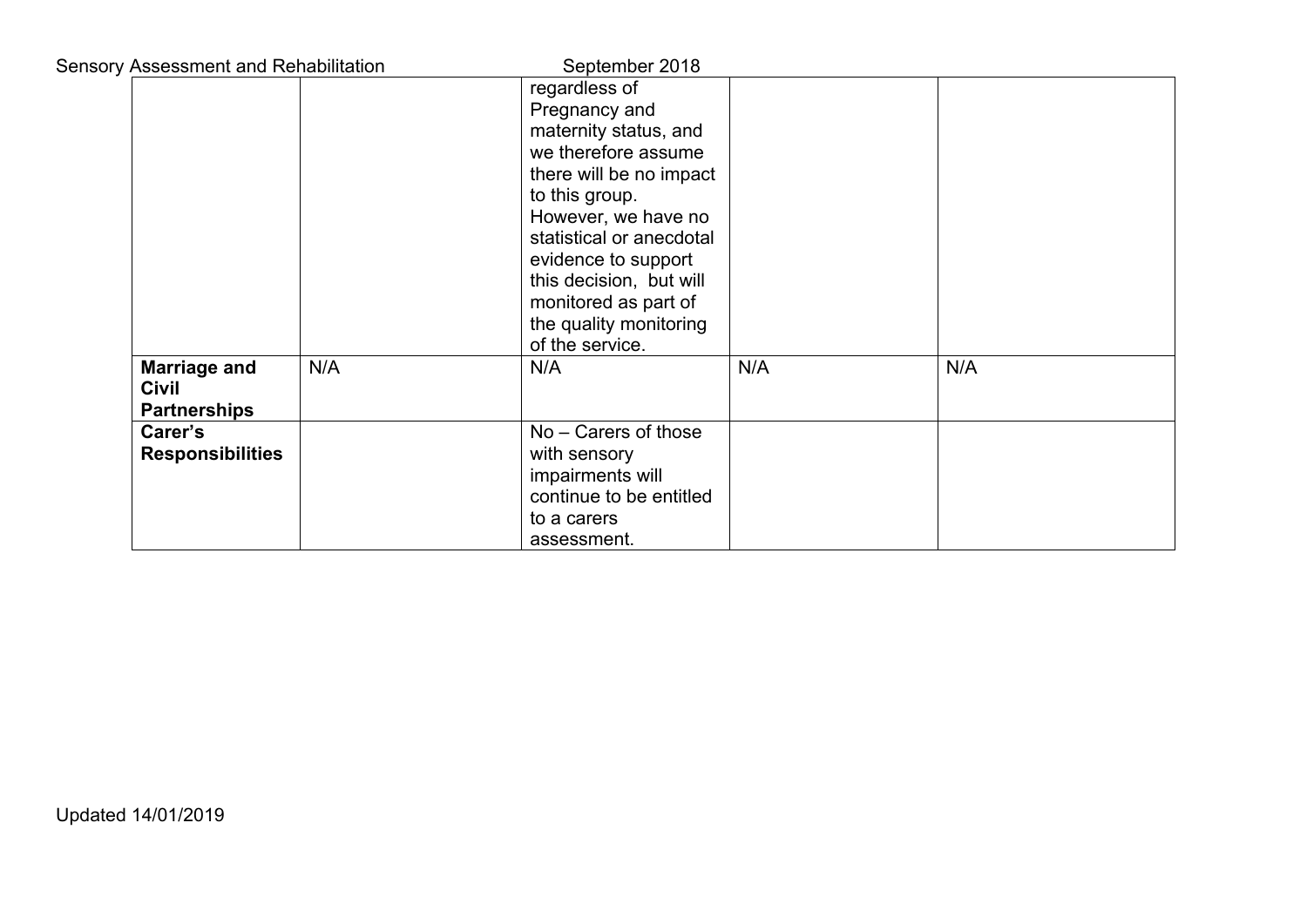| <b>Sensory Assessment and Rehabilitation</b>        |     | September 2018                                                                                                                                                                                                                                                                                        |     |     |
|-----------------------------------------------------|-----|-------------------------------------------------------------------------------------------------------------------------------------------------------------------------------------------------------------------------------------------------------------------------------------------------------|-----|-----|
|                                                     |     | regardless of<br>Pregnancy and<br>maternity status, and<br>we therefore assume<br>there will be no impact<br>to this group.<br>However, we have no<br>statistical or anecdotal<br>evidence to support<br>this decision, but will<br>monitored as part of<br>the quality monitoring<br>of the service. |     |     |
| <b>Marriage and</b><br>Civil<br><b>Partnerships</b> | N/A | N/A                                                                                                                                                                                                                                                                                                   | N/A | N/A |
| Carer's<br><b>Responsibilities</b>                  |     | No - Carers of those<br>with sensory<br>impairments will<br>continue to be entitled<br>to a carers<br>assessment.                                                                                                                                                                                     |     |     |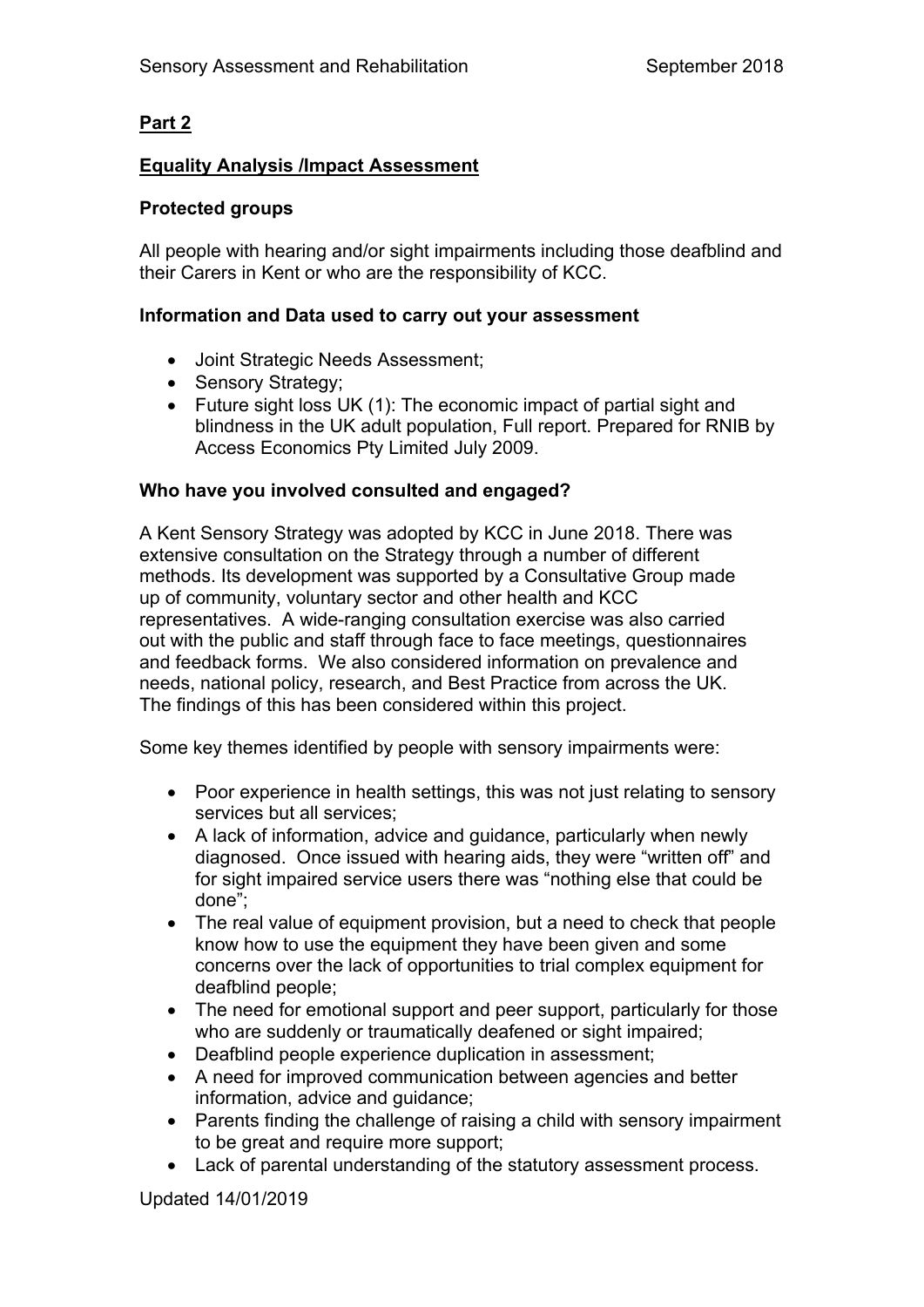# **Part 2**

# **Equality Analysis /Impact Assessment**

# **Protected groups**

All people with hearing and/or sight impairments including those deafblind and their Carers in Kent or who are the responsibility of KCC.

# **Information and Data used to carry out your assessment**

- Joint Strategic Needs Assessment;
- Sensory Strategy;
- Future sight loss UK (1): The economic impact of partial sight and blindness in the UK adult population, Full report. Prepared for RNIB by Access Economics Pty Limited July 2009.

# **Who have you involved consulted and engaged?**

A Kent Sensory Strategy was adopted by KCC in June 2018. There was extensive consultation on the Strategy through a number of different methods. Its development was supported by a Consultative Group made up of community, voluntary sector and other health and KCC representatives. A wide-ranging consultation exercise was also carried out with the public and staff through face to face meetings, questionnaires and feedback forms. We also considered information on prevalence and needs, national policy, research, and Best Practice from across the UK. The findings of this has been considered within this project.

Some key themes identified by people with sensory impairments were:

- Poor experience in health settings, this was not just relating to sensory services but all services;
- A lack of information, advice and guidance, particularly when newly diagnosed. Once issued with hearing aids, they were "written off" and for sight impaired service users there was "nothing else that could be done";
- The real value of equipment provision, but a need to check that people know how to use the equipment they have been given and some concerns over the lack of opportunities to trial complex equipment for deafblind people;
- The need for emotional support and peer support, particularly for those who are suddenly or traumatically deafened or sight impaired;
- Deafblind people experience duplication in assessment;
- A need for improved communication between agencies and better information, advice and guidance;
- Parents finding the challenge of raising a child with sensory impairment to be great and require more support;
- Lack of parental understanding of the statutory assessment process.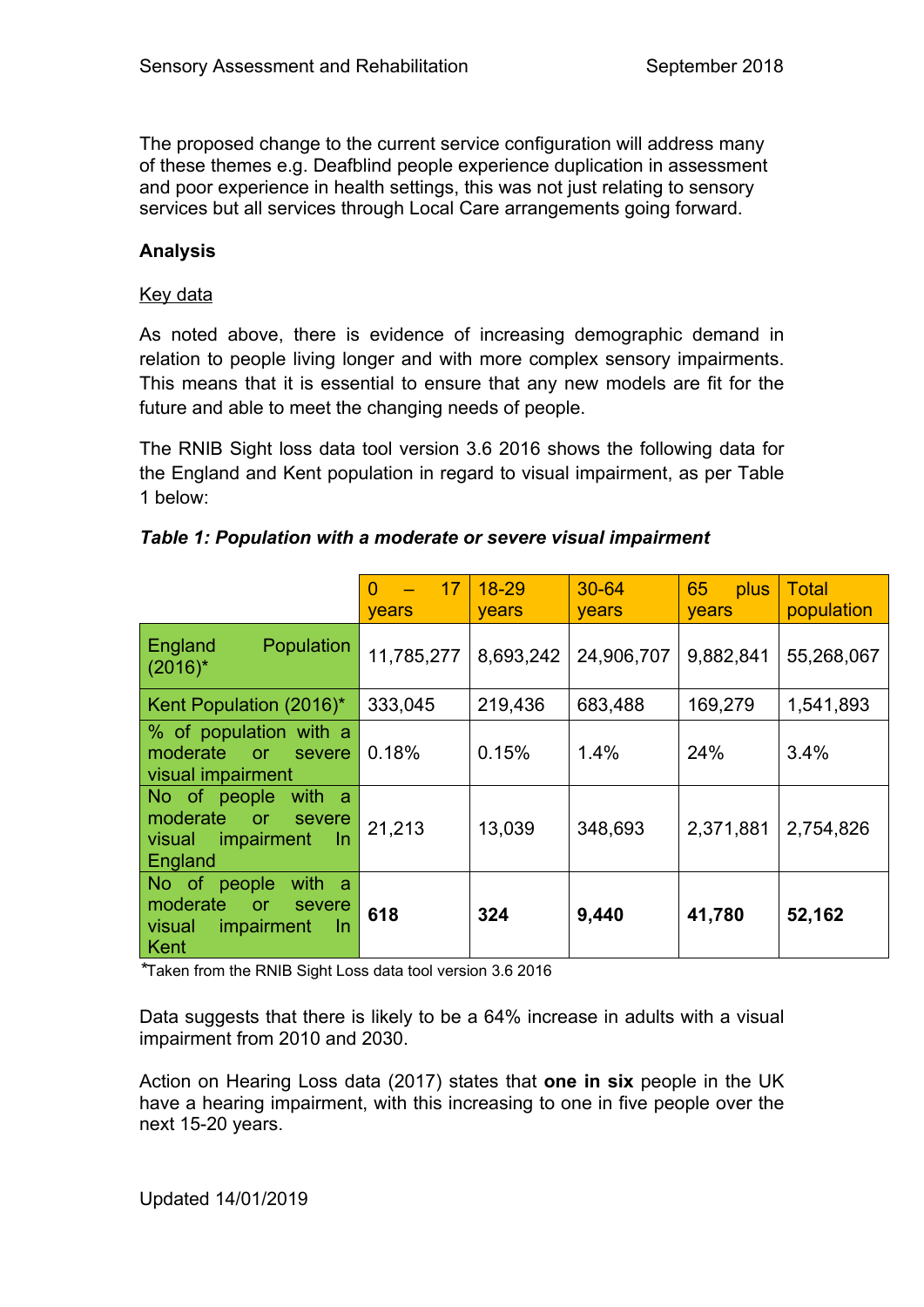The proposed change to the current service configuration will address many of these themes e.g. Deafblind people experience duplication in assessment and poor experience in health settings, this was not just relating to sensory services but all services through Local Care arrangements going forward.

# **Analysis**

#### Key data

As noted above, there is evidence of increasing demographic demand in relation to people living longer and with more complex sensory impairments. This means that it is essential to ensure that any new models are fit for the future and able to meet the changing needs of people.

The RNIB Sight loss data tool version 3.6 2016 shows the following data for the England and Kent population in regard to visual impairment, as per Table 1 below:

|                                                                                                        | 17<br>$\Omega$<br><b>years</b> | $18 - 29$<br><b>years</b> | $30 - 64$<br>years | 65<br>plus<br>years | <b>Total</b><br>population |
|--------------------------------------------------------------------------------------------------------|--------------------------------|---------------------------|--------------------|---------------------|----------------------------|
| England<br><b>Population</b><br>$(2016)^{*}$                                                           | 11,785,277                     | 8,693,242                 | 24,906,707         | 9,882,841           | 55,268,067                 |
| Kent Population (2016)*                                                                                | 333,045                        | 219,436                   | 683,488            | 169,279             | 1,541,893                  |
| % of population with a<br>moderate<br>or<br>severe<br>visual impairment                                | 0.18%                          | 0.15%                     | 1.4%               | 24%                 | 3.4%                       |
| with a<br>No of people<br>moderate<br>or<br>severe<br>impairment<br>visual<br>In<br>England            | 21,213                         | 13,039                    | 348,693            | 2,371,881           | 2,754,826                  |
| No of<br>with<br>people<br>-a<br>moderate<br><b>or</b><br>severe<br>impairment<br>visual<br>In<br>Kent | 618                            | 324                       | 9,440              | 41,780              | 52,162                     |

#### *Table 1: Population with a moderate or severe visual impairment*

*\**Taken from the RNIB Sight Loss data tool version 3.6 2016

Data suggests that there is likely to be a 64% increase in adults with a visual impairment from 2010 and 2030.

Action on Hearing Loss data (2017) states that **one in six** people in the UK have a hearing impairment, with this increasing to one in five people over the next 15-20 years.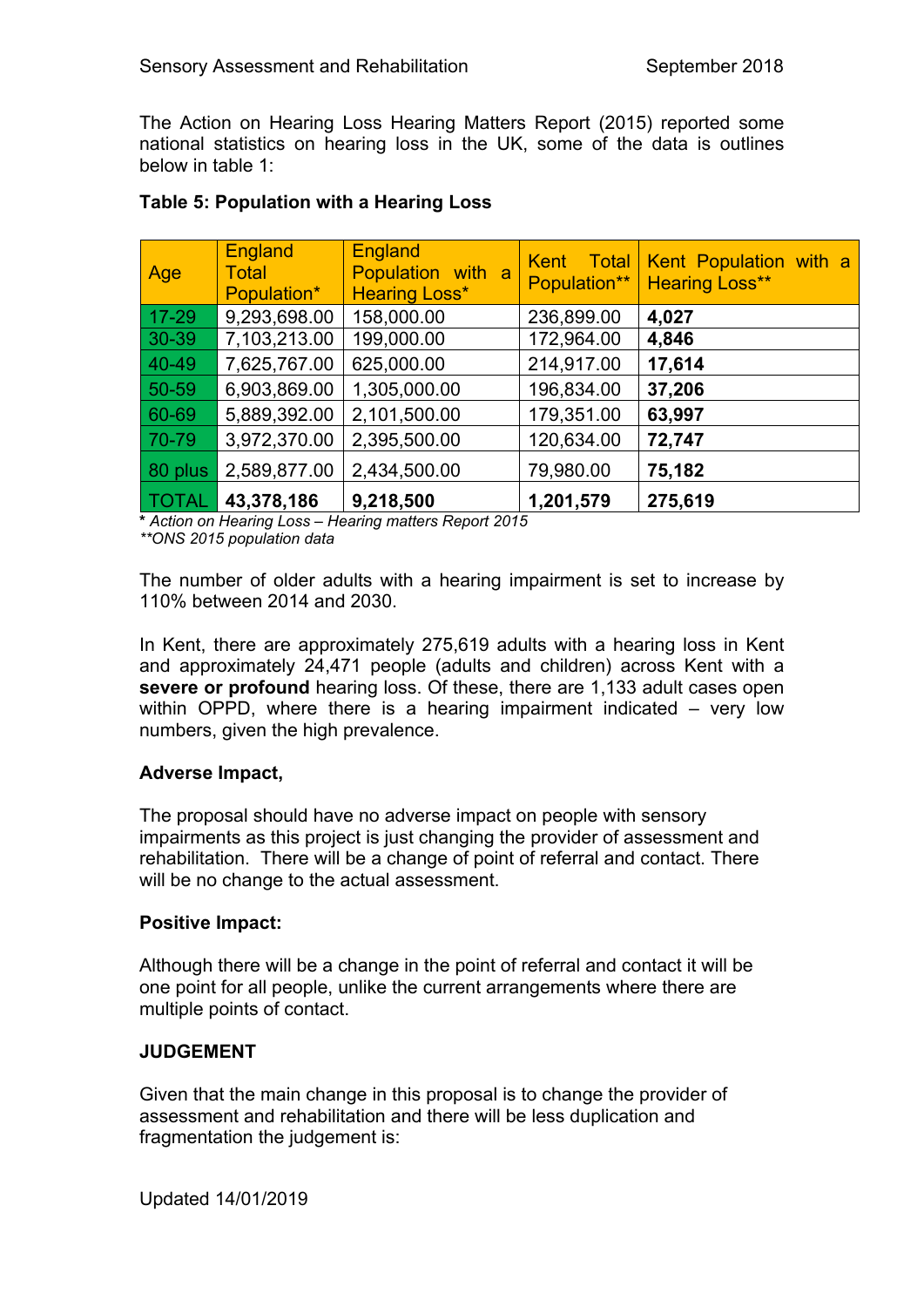The Action on Hearing Loss Hearing Matters Report (2015) reported some national statistics on hearing loss in the UK, some of the data is outlines below in table 1:

| Age          | <b>England</b><br><b>Total</b><br>Population* | <b>England</b><br>Population with a<br><b>Hearing Loss*</b> | Total<br><b>Kent</b><br>Population** | Kent Population with a<br><b>Hearing Loss**</b> |
|--------------|-----------------------------------------------|-------------------------------------------------------------|--------------------------------------|-------------------------------------------------|
| $17 - 29$    | 9,293,698.00                                  | 158,000.00                                                  | 236,899.00                           | 4,027                                           |
| $30 - 39$    | 7,103,213.00                                  | 199,000.00                                                  | 172,964.00                           | 4,846                                           |
| 40-49        | 7,625,767.00                                  | 625,000.00                                                  | 214,917.00                           | 17,614                                          |
| $50 - 59$    | 6,903,869.00                                  | 1,305,000.00                                                | 196,834.00                           | 37,206                                          |
| 60-69        | 5,889,392.00                                  | 2,101,500.00                                                | 179,351.00                           | 63,997                                          |
| 70-79        | 3,972,370.00                                  | 2,395,500.00                                                | 120,634.00                           | 72,747                                          |
| 80 plus      | 2,589,877.00                                  | 2,434,500.00                                                | 79,980.00                            | 75,182                                          |
| <b>TOTAL</b> | 43,378,186                                    | 9,218,500                                                   | 1,201,579                            | 275,619                                         |

# **Table 5: Population with a Hearing Loss**

**\*** *Action on Hearing Loss – Hearing matters Report 2015*

*\*\*ONS 2015 population data*

The number of older adults with a hearing impairment is set to increase by 110% between 2014 and 2030.

In Kent, there are approximately 275,619 adults with a hearing loss in Kent and approximately 24,471 people (adults and children) across Kent with a **severe or profound** hearing loss. Of these, there are 1,133 adult cases open within OPPD, where there is a hearing impairment indicated – very low numbers, given the high prevalence.

# **Adverse Impact,**

The proposal should have no adverse impact on people with sensory impairments as this project is just changing the provider of assessment and rehabilitation. There will be a change of point of referral and contact. There will be no change to the actual assessment.

# **Positive Impact:**

Although there will be a change in the point of referral and contact it will be one point for all people, unlike the current arrangements where there are multiple points of contact.

# **JUDGEMENT**

Given that the main change in this proposal is to change the provider of assessment and rehabilitation and there will be less duplication and fragmentation the judgement is: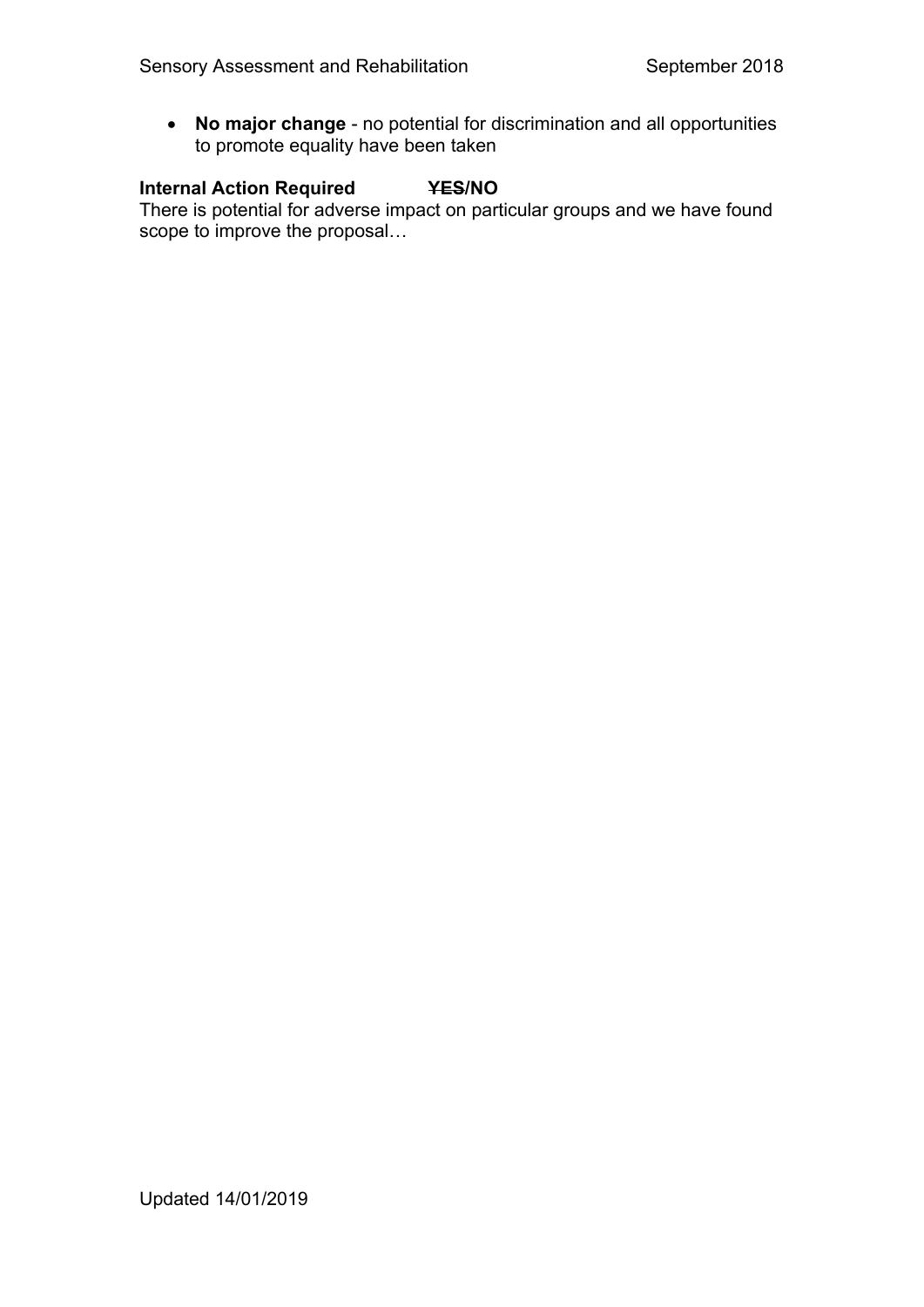**No major change** - no potential for discrimination and all opportunities to promote equality have been taken

# **Internal Action Required YES/NO**

There is potential for adverse impact on particular groups and we have found scope to improve the proposal...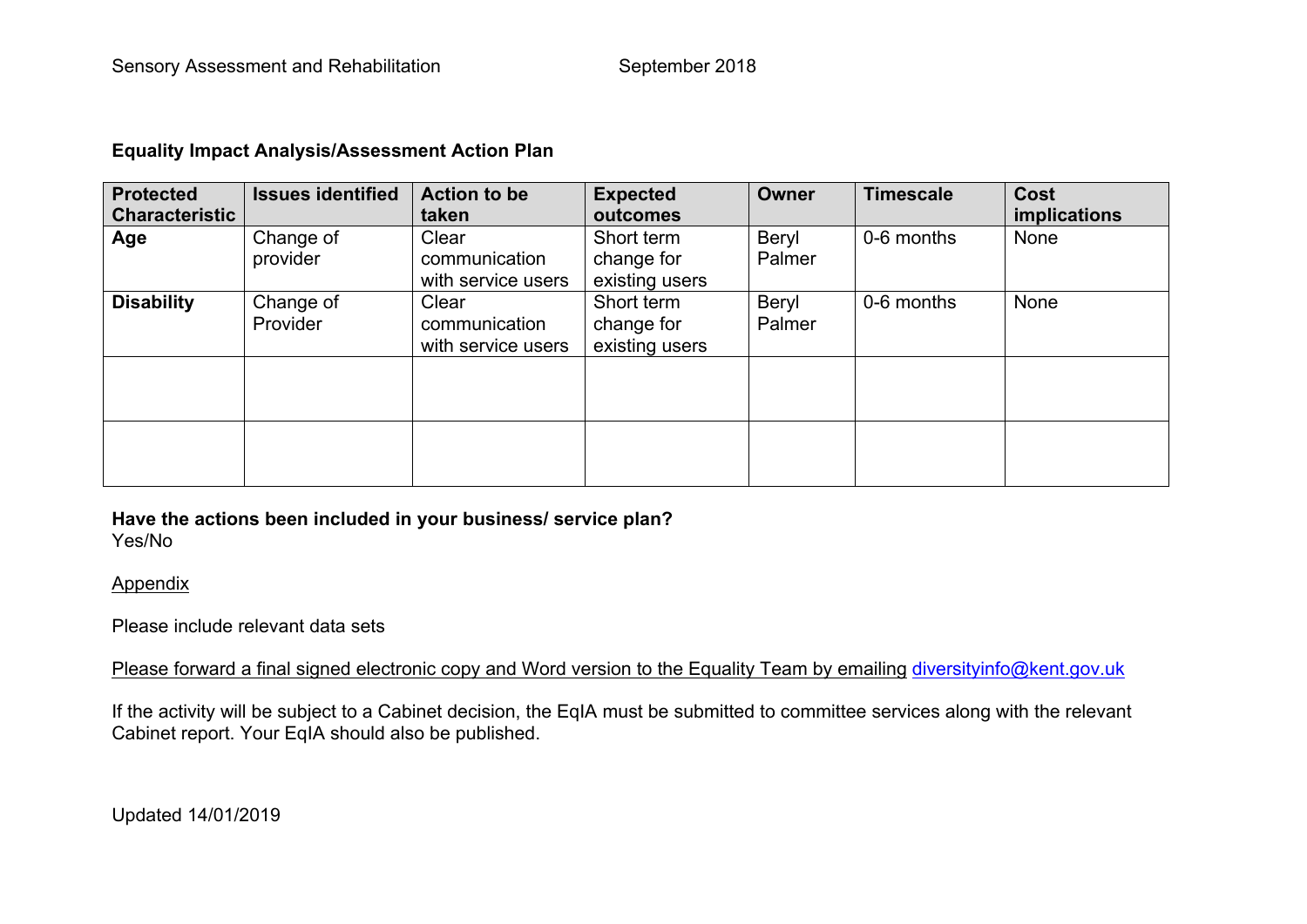#### **Equality Impact Analysis/Assessment Action Plan**

| <b>Protected</b><br><b>Characteristic</b> | <b>Issues identified</b> | <b>Action to be</b><br>taken                 | <b>Expected</b><br>outcomes                | <b>Owner</b>    | <b>Timescale</b> | <b>Cost</b><br>implications |
|-------------------------------------------|--------------------------|----------------------------------------------|--------------------------------------------|-----------------|------------------|-----------------------------|
| Age                                       | Change of<br>provider    | Clear<br>communication<br>with service users | Short term<br>change for<br>existing users | Beryl<br>Palmer | 0-6 months       | None                        |
| <b>Disability</b>                         | Change of<br>Provider    | Clear<br>communication<br>with service users | Short term<br>change for<br>existing users | Beryl<br>Palmer | 0-6 months       | None                        |
|                                           |                          |                                              |                                            |                 |                  |                             |
|                                           |                          |                                              |                                            |                 |                  |                             |

#### **Have the actions been included in your business/ service plan?** Yes/No

#### Appendix

# Please include relevant data sets

Please forward a final signed electronic copy and Word version to the Equality Team by emailing [diversityinfo@kent.gov.uk](mailto:diversityinfo@kent.gov.uk)

If the activity will be subject to a Cabinet decision, the EqIA must be submitted to committee services along with the relevant Cabinet report. Your EqIA should also be published.